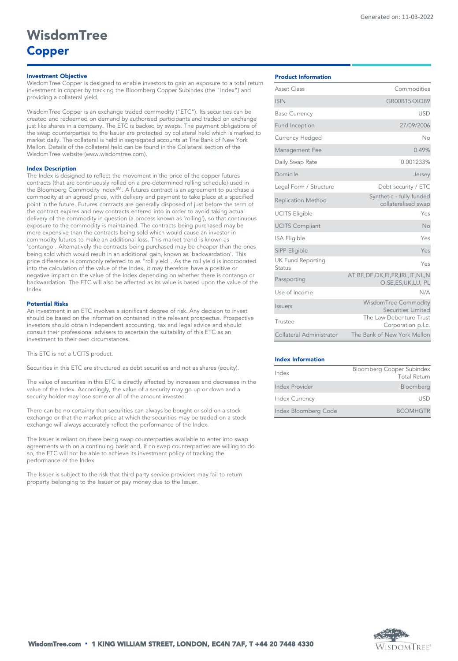## *Investment Objective*

WisdomTree Copper is designed to enable investors to gain an exposure to a total return investment in copper by tracking the Bloomberg Copper Subindex (the "Index") and providing a collateral yield.

WisdomTree Copper is an exchange traded commodity ("ETC"). Its securities can be created and redeemed on demand by authorised participants and traded on exchange just like shares in a company. The ETC is backed by swaps. The payment obligations of the swap counterparties to the Issuer are protected by collateral held which is marked to market daily. The collateral is held in segregated accounts at The Bank of New York Mellon. Details of the collateral held can be found in the Collateral section of the WisdomTree website (www.wisdomtree.com).

#### *Index Description*

The Index is designed to reflect the movement in the price of the copper futures contracts (that are continuously rolled on a pre-determined rolling schedule) used in the Bloomberg Commodity Index<sup>SM</sup>. A futures contract is an agreement to purchase a commodity at an agreed price, with delivery and payment to take place at a specified point in the future. Futures contracts are generally disposed of just before the term of the contract expires and new contracts entered into in order to avoid taking actual delivery of the commodity in question (a process known as 'rolling'), so that continuous exposure to the commodity is maintained. The contracts being purchased may be more expensive than the contracts being sold which would cause an investor in commodity futures to make an additional loss. This market trend is known as 'contango'. Alternatively the contracts being purchased may be cheaper than the ones being sold which would result in an additional gain, known as 'backwardation'. This price difference is commonly referred to as "roll yield". As the roll yield is incorporated into the calculation of the value of the Index, it may therefore have a positive or negative impact on the value of the Index depending on whether there is contango or backwardation. The ETC will also be affected as its value is based upon the value of the Index.

#### *Potential Risks*

An investment in an ETC involves a significant degree of risk. Any decision to invest should be based on the information contained in the relevant prospectus. Prospective investors should obtain independent accounting, tax and legal advice and should consult their professional advisers to ascertain the suitability of this ETC as an investment to their own circumstances.

This ETC is not a UCITS product.

Securities in this ETC are structured as debt securities and not as shares (equity).

The value of securities in this ETC is directly affected by increases and decreases in the value of the Index. Accordingly, the value of a security may go up or down and a security holder may lose some or all of the amount invested.

There can be no certainty that securities can always be bought or sold on a stock exchange or that the market price at which the securities may be traded on a stock exchange will always accurately reflect the performance of the Index.

The Issuer is reliant on there being swap counterparties available to enter into swap agreements with on a continuing basis and, if no swap counterparties are willing to do so, the ETC will not be able to achieve its investment policy of tracking the performance of the Index.

The Issuer is subject to the risk that third party service providers may fail to return property belonging to the Issuer or pay money due to the Issuer.

| Asset Class                        | Commodities                                                     |  |  |  |  |
|------------------------------------|-----------------------------------------------------------------|--|--|--|--|
| <b>ISIN</b>                        | GB00B15KXQ89                                                    |  |  |  |  |
| <b>Base Currency</b>               | <b>USD</b>                                                      |  |  |  |  |
| Fund Inception                     | 27/09/2006                                                      |  |  |  |  |
| Currency Hedged                    | Nο                                                              |  |  |  |  |
| Management Fee                     | 0.49%                                                           |  |  |  |  |
| Daily Swap Rate                    | 0.001233%                                                       |  |  |  |  |
| Domicile                           | Jersey                                                          |  |  |  |  |
| Legal Form / Structure             | Debt security / ETC                                             |  |  |  |  |
| <b>Replication Method</b>          | Synthetic - fully funded<br>collateralised swap                 |  |  |  |  |
| <b>UCITS Eligible</b>              | Yes                                                             |  |  |  |  |
| <b>UCITS Compliant</b>             | No                                                              |  |  |  |  |
| <b>ISA Eligible</b>                | Yes                                                             |  |  |  |  |
| SIPP Eligible                      | Yes                                                             |  |  |  |  |
| <b>UK Fund Reporting</b><br>Status | Yes                                                             |  |  |  |  |
| Passporting                        | AT, BE, DE, DK, FI, FR, IRL, IT, NL, N<br>O, SE, ES, UK, LU, PL |  |  |  |  |
| Use of Income                      | N/A                                                             |  |  |  |  |
| <i><u><b>Issuers</b></u></i>       | WisdomTree Commodity<br>Securities Limited                      |  |  |  |  |
| Trustee                            | The Law Debenture Trust<br>Corporation p.l.c.                   |  |  |  |  |
| Collateral Administrator           | The Bank of New York Mellon                                     |  |  |  |  |

#### *Index Information*

| Index                 | Bloomberg Copper Subindex |  |  |  |
|-----------------------|---------------------------|--|--|--|
|                       | <b>Total Return</b>       |  |  |  |
| Index Provider        | Bloomberg                 |  |  |  |
| <b>Index Currency</b> | USD                       |  |  |  |
| Index Bloomberg Code  | <b>BCOMHGTR</b>           |  |  |  |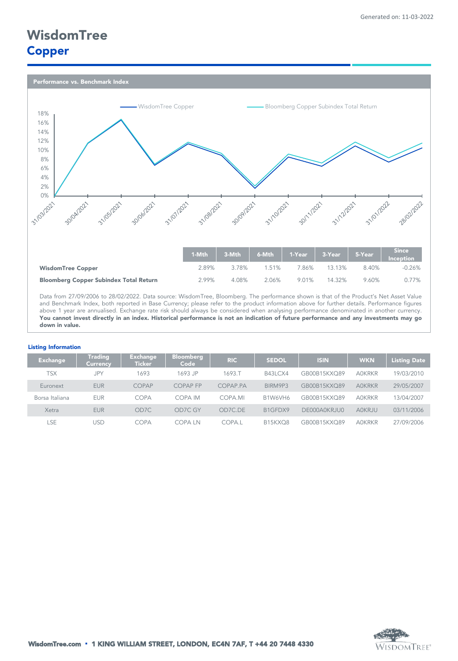*Performance vs. Benchmark Index* 



Data from 27/09/2006 to 28/02/2022. Data source: WisdomTree, Bloomberg. The performance shown is that of the Product's Net Asset Value and Benchmark Index, both reported in Base Currency; please refer to the product information above for further details. Performance figures above 1 year are annualised. Exchange rate risk should always be considered when analysing performance denominated in another currency. You cannot invest directly in an index. Historical performance is not an indication of future performance and any investments may go *down in value.*

## *Listing Information*

| <b>Exchange</b> | Trading<br><b>Currency</b> | <b>Exchange</b><br><b>Ticker</b> | <b>Bloomberg</b><br>Code | <b>RIC</b> | <b>SEDOL</b>                     | <b>ISIN</b>  | <b>WKN</b>    | <b>Listing Date</b> |
|-----------------|----------------------------|----------------------------------|--------------------------|------------|----------------------------------|--------------|---------------|---------------------|
| TSX             | <b>JPY</b>                 | 1693                             | 1693.JP                  | 1693.T     | B43LCX4                          | GB00B15KXQ89 | <b>AOKRKR</b> | 19/03/2010          |
| Euronext        | <b>EUR</b>                 | COPAP                            | <b>COPAP FP</b>          | COPAP.PA   | BIRM9P3                          | GB00B15KXQ89 | <b>AOKRKR</b> | 29/05/2007          |
| Borsa Italiana  | <b>EUR</b>                 | COPA                             | COPA IM                  | COPA.MI    | B1W6VH6                          | GB00B15KXQ89 | <b>AOKRKR</b> | 13/04/2007          |
| Xetra           | <b>EUR</b>                 | OD7C                             | OD7C GY                  | OD7C.DE    | B <sub>1GFDX9</sub>              | DE000A0KRJU0 | AOKRJU        | 03/11/2006          |
| LSE             | USD                        | COPA                             | COPA LN                  | COPA.I     | B <sub>15</sub> KXO <sub>8</sub> | GB00B15KXQ89 | <b>AOKRKR</b> | 27/09/2006          |

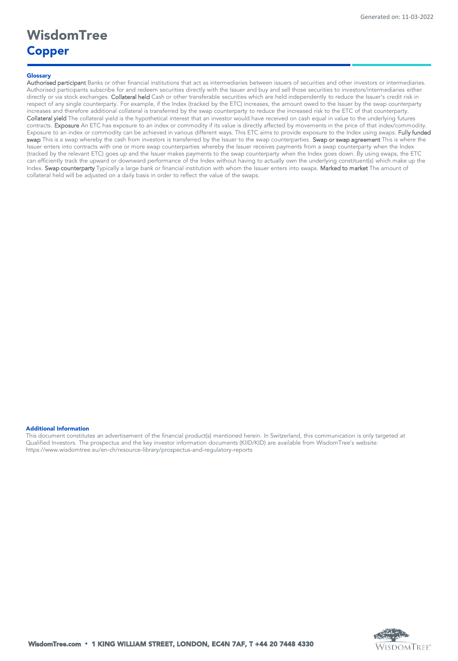## *Glossary*

Authorised participant Banks or other financial institutions that act as intermediaries between issuers of securities and other investors or intermediaries. Authorised participants subscribe for and redeem securities directly with the Issuer and buy and sell those securities to investors/intermediaries either directly or via stock exchanges. Collateral held Cash or other transferable securities which are held independently to reduce the Issuer's credit risk in respect of any single counterparty. For example, if the Index (tracked by the ETC) increases, the amount owed to the Issuer by the swap counterparty increases and therefore additional collateral is transferred by the swap counterparty to reduce the increased risk to the ETC of that counterparty. Collateral yield The collateral yield is the hypothetical interest that an investor would have received on cash equal in value to the underlying futures contracts. Exposure An ETC has exposure to an index or commodity if its value is directly affected by movements in the price of that index/commodity. Exposure to an index or commodity can be achieved in various different ways. This ETC aims to provide exposure to the Index using swaps. Fully funded swap This is a swap whereby the cash from investors is transferred by the Issuer to the swap counterparties. Swap or swap agreement This is where the Issuer enters into contracts with one or more swap counterparties whereby the Issuer receives payments from a swap counterparty when the Index (tracked by the relevant ETC) goes up and the Issuer makes payments to the swap counterparty when the Index goes down. By using swaps, the ETC can efficiently track the upward or downward performance of the Index without having to actually own the underlying constituent(s) which make up the Index. Swap counterparty Typically a large bank or financial institution with whom the Issuer enters into swaps. Marked to market The amount of collateral held will be adjusted on a daily basis in order to reflect the value of the swaps.

## *Additional Information*

This document constitutes an advertisement of the financial product(s) mentioned herein. In Switzerland, this communication is only targeted at Qualified Investors. The prospectus and the key investor information documents (KIID/KID) are available from WisdomTree's website: https://www.wisdomtree.eu/en-ch/resource-library/prospectus-and-regulatory-reports